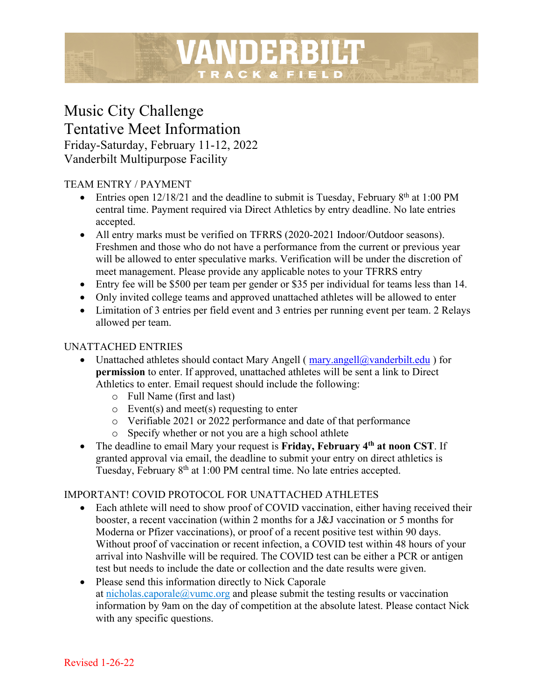# Music City Challenge Tentative Meet Information Friday-Saturday, February 11-12, 2022 Vanderbilt Multipurpose Facility

# TEAM ENTRY / PAYMENT

• Entries open 12/18/21 and the deadline to submit is Tuesday, February  $8<sup>th</sup>$  at 1:00 PM central time. Payment required via Direct Athletics by entry deadline. No late entries accepted.

VANDERBILT

TRACK & FIELD

- All entry marks must be verified on TFRRS (2020-2021 Indoor/Outdoor seasons). Freshmen and those who do not have a performance from the current or previous year will be allowed to enter speculative marks. Verification will be under the discretion of meet management. Please provide any applicable notes to your TFRRS entry
- Entry fee will be \$500 per team per gender or \$35 per individual for teams less than 14.
- Only invited college teams and approved unattached athletes will be allowed to enter
- Limitation of 3 entries per field event and 3 entries per running event per team. 2 Relays allowed per team.

#### UNATTACHED ENTRIES

- Unattached athletes should contact Mary Angell ( $\frac{mary.angell@vanderbilt.edu}{mary.}$ ) for **permission** to enter. If approved, unattached athletes will be sent a link to Direct Athletics to enter. Email request should include the following:
	- o Full Name (first and last)
	- o Event(s) and meet(s) requesting to enter
	- o Verifiable 2021 or 2022 performance and date of that performance
	- o Specify whether or not you are a high school athlete
- The deadline to email Mary your request is **Friday, February 4th at noon CST**. If granted approval via email, the deadline to submit your entry on direct athletics is Tuesday, February 8<sup>th</sup> at 1:00 PM central time. No late entries accepted.

### IMPORTANT! COVID PROTOCOL FOR UNATTACHED ATHLETES

- Each athlete will need to show proof of COVID vaccination, either having received their booster, a recent vaccination (within 2 months for a J&J vaccination or 5 months for Moderna or Pfizer vaccinations), or proof of a recent positive test within 90 days. Without proof of vaccination or recent infection, a COVID test within 48 hours of your arrival into Nashville will be required. The COVID test can be either a PCR or antigen test but needs to include the date or collection and the date results were given.
- Please send this information directly to Nick Caporale at nicholas.caporale@vumc.org and please submit the testing results or vaccination information by 9am on the day of competition at the absolute latest. Please contact Nick with any specific questions.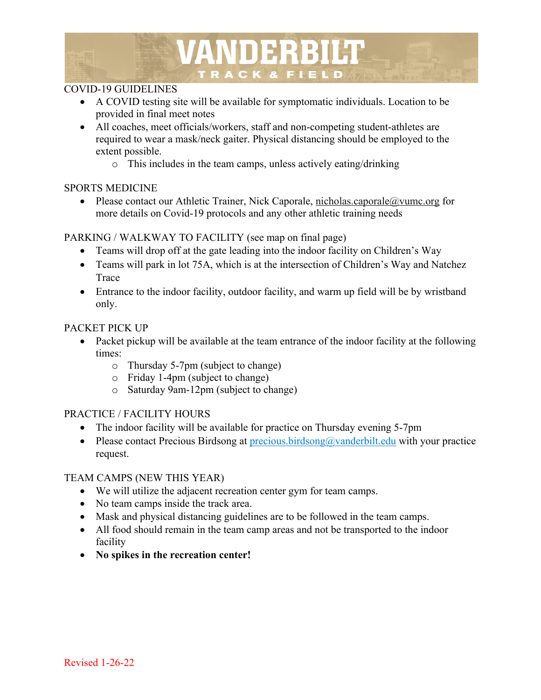# VANDERBILT TRACK & FIELD

# COVID-19 GUIDELINES

- A COVID testing site will be available for symptomatic individuals. Location to be provided in final meet notes
- All coaches, meet officials/workers, staff and non-competing student-athletes are required to wear a mask/neck gaiter. Physical distancing should be employed to the extent possible.
	- o This includes in the team camps, unless actively eating/drinking

### SPORTS MEDICINE

• Please contact our Athletic Trainer, Nick Caporale, nicholas.caporale@vumc.org for more details on Covid-19 protocols and any other athletic training needs

# PARKING / WALKWAY TO FACILITY (see map on final page)

- Teams will drop off at the gate leading into the indoor facility on Children's Way
- Teams will park in lot 75A, which is at the intersection of Children's Way and Natchez Trace
- Entrance to the indoor facility, outdoor facility, and warm up field will be by wristband only.

# PACKET PICK UP

- Packet pickup will be available at the team entrance of the indoor facility at the following times:
	- o Thursday 5-7pm (subject to change)
	- o Friday 1-4pm (subject to change)
	- o Saturday 9am-12pm (subject to change)

# PRACTICE / FACILITY HOURS

- The indoor facility will be available for practice on Thursday evening 5-7pm
- Please contact Precious Birdsong at precious.birdsong@vanderbilt.edu with your practice request.

### TEAM CAMPS (NEW THIS YEAR)

- We will utilize the adjacent recreation center gym for team camps.
- No team camps inside the track area.
- Mask and physical distancing guidelines are to be followed in the team camps.
- All food should remain in the team camp areas and not be transported to the indoor facility
- **No spikes in the recreation center!**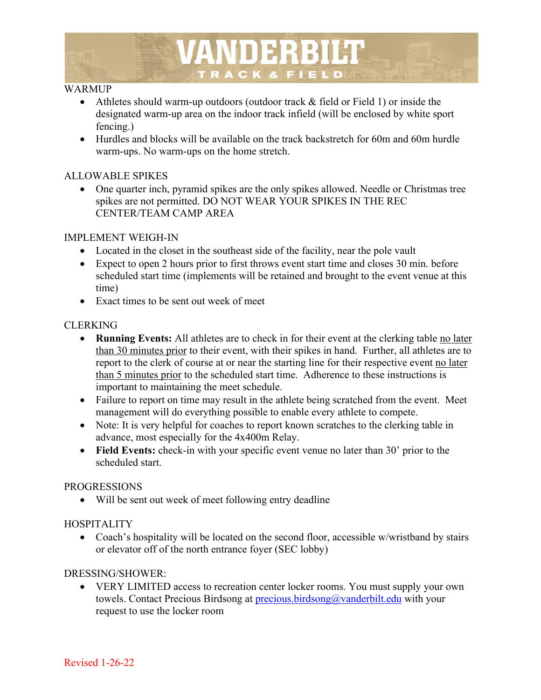

#### WARMUP

- Athletes should warm-up outdoors (outdoor track & field or Field 1) or inside the designated warm-up area on the indoor track infield (will be enclosed by white sport fencing.)
- Hurdles and blocks will be available on the track backstretch for 60m and 60m hurdle warm-ups. No warm-ups on the home stretch.

#### ALLOWABLE SPIKES

• One quarter inch, pyramid spikes are the only spikes allowed. Needle or Christmas tree spikes are not permitted. DO NOT WEAR YOUR SPIKES IN THE REC CENTER/TEAM CAMP AREA

#### IMPLEMENT WEIGH-IN

- Located in the closet in the southeast side of the facility, near the pole vault
- Expect to open 2 hours prior to first throws event start time and closes 30 min. before scheduled start time (implements will be retained and brought to the event venue at this time)
- Exact times to be sent out week of meet

#### CLERKING

- **Running Events:** All athletes are to check in for their event at the clerking table no later than 30 minutes prior to their event, with their spikes in hand. Further, all athletes are to report to the clerk of course at or near the starting line for their respective event no later than 5 minutes prior to the scheduled start time. Adherence to these instructions is important to maintaining the meet schedule.
- Failure to report on time may result in the athlete being scratched from the event. Meet management will do everything possible to enable every athlete to compete.
- Note: It is very helpful for coaches to report known scratches to the clerking table in advance, most especially for the 4x400m Relay.
- **Field Events:** check-in with your specific event venue no later than 30' prior to the scheduled start.

#### PROGRESSIONS

• Will be sent out week of meet following entry deadline

#### **HOSPITALITY**

• Coach's hospitality will be located on the second floor, accessible w/wristband by stairs or elevator off of the north entrance foyer (SEC lobby)

#### DRESSING/SHOWER:

• VERY LIMITED access to recreation center locker rooms. You must supply your own towels. Contact Precious Birdsong at precious.birdsong@vanderbilt.edu with your request to use the locker room